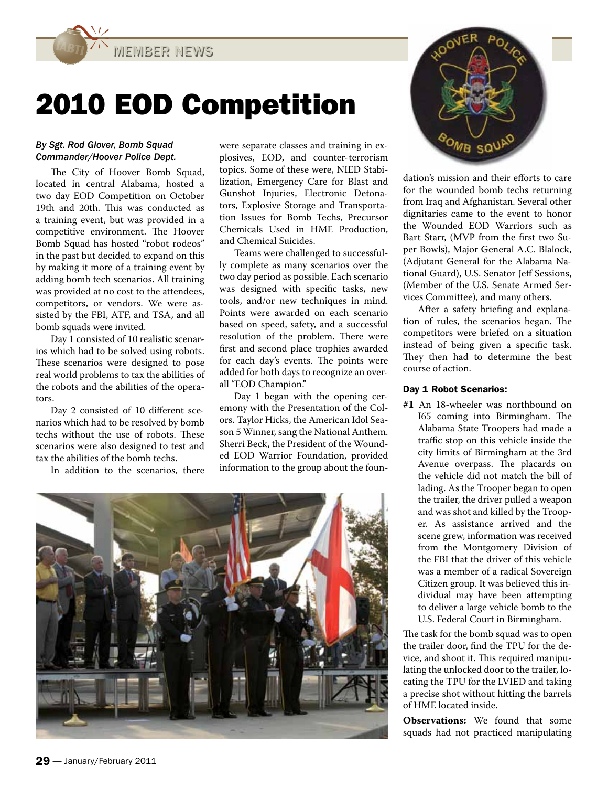MEMBER NEWS

# 2010 EOD Competition

### By Sgt. Rod Glover, Bomb Squad Commander/Hoover Police Dept.

The City of Hoover Bomb Squad, located in central Alabama, hosted a two day EOD Competition on October 19th and 20th. This was conducted as a training event, but was provided in a competitive environment. The Hoover Bomb Squad has hosted "robot rodeos" in the past but decided to expand on this by making it more of a training event by adding bomb tech scenarios. All training was provided at no cost to the attendees, competitors, or vendors. We were assisted by the FBI, ATF, and TSA, and all bomb squads were invited.

Day 1 consisted of 10 realistic scenarios which had to be solved using robots. These scenarios were designed to pose real world problems to tax the abilities of the robots and the abilities of the operators.

Day 2 consisted of 10 different scenarios which had to be resolved by bomb techs without the use of robots. These scenarios were also designed to test and tax the abilities of the bomb techs.

In addition to the scenarios, there

were separate classes and training in explosives, EOD, and counter-terrorism topics. Some of these were, NIED Stabilization, Emergency Care for Blast and Gunshot Injuries, Electronic Detonators, Explosive Storage and Transportation Issues for Bomb Techs, Precursor Chemicals Used in HME Production, and Chemical Suicides.

Teams were challenged to successfully complete as many scenarios over the two day period as possible. Each scenario was designed with specific tasks, new tools, and/or new techniques in mind. Points were awarded on each scenario based on speed, safety, and a successful resolution of the problem. There were first and second place trophies awarded for each day's events. The points were added for both days to recognize an overall "EOD Champion."

Day 1 began with the opening ceremony with the Presentation of the Colors. Taylor Hicks, the American Idol Season 5 Winner, sang the National Anthem. Sherri Beck, the President of the Wounded EOD Warrior Foundation, provided information to the group about the foun-





dation's mission and their efforts to care for the wounded bomb techs returning from Iraq and Afghanistan. Several other dignitaries came to the event to honor the Wounded EOD Warriors such as Bart Starr, (MVP from the first two Super Bowls), Major General A.C. Blalock, (Adjutant General for the Alabama National Guard), U.S. Senator Jeff Sessions, (Member of the U.S. Senate Armed Services Committee), and many others.

After a safety briefing and explanation of rules, the scenarios began. The competitors were briefed on a situation instead of being given a specific task. They then had to determine the best course of action.

## Day 1 Robot Scenarios:

**#1** An 18-wheeler was northbound on I65 coming into Birmingham. The Alabama State Troopers had made a traffic stop on this vehicle inside the city limits of Birmingham at the 3rd Avenue overpass. The placards on the vehicle did not match the bill of lading. As the Trooper began to open the trailer, the driver pulled a weapon and was shot and killed by the Trooper. As assistance arrived and the scene grew, information was received from the Montgomery Division of the FBI that the driver of this vehicle was a member of a radical Sovereign Citizen group. It was believed this individual may have been attempting to deliver a large vehicle bomb to the U.S. Federal Court in Birmingham.

The task for the bomb squad was to open the trailer door, find the TPU for the device, and shoot it. This required manipulating the unlocked door to the trailer, locating the TPU for the LVIED and taking a precise shot without hitting the barrels of HME located inside.

**Observations:** We found that some squads had not practiced manipulating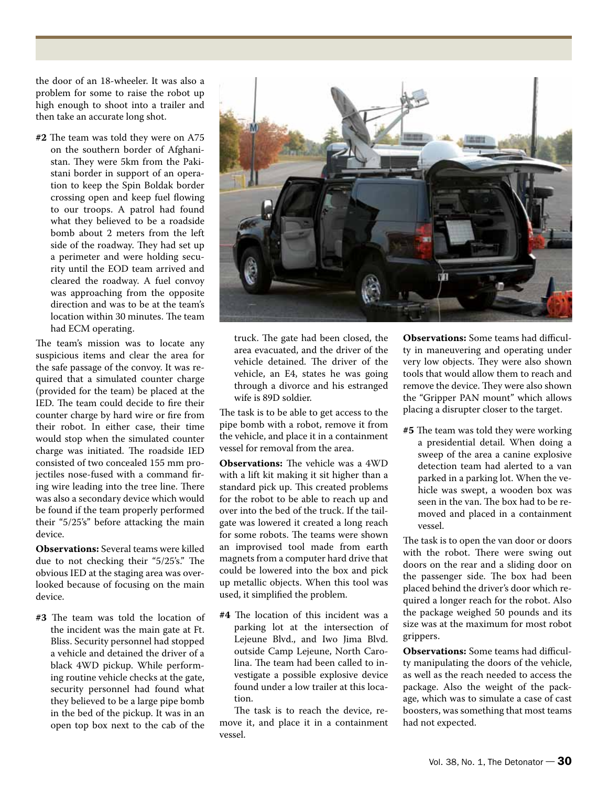the door of an 18-wheeler. It was also a problem for some to raise the robot up high enough to shoot into a trailer and then take an accurate long shot.

**#2** The team was told they were on A75 on the southern border of Afghanistan. They were 5km from the Pakistani border in support of an operation to keep the Spin Boldak border crossing open and keep fuel flowing to our troops. A patrol had found what they believed to be a roadside bomb about 2 meters from the left side of the roadway. They had set up a perimeter and were holding security until the EOD team arrived and cleared the roadway. A fuel convoy was approaching from the opposite direction and was to be at the team's location within 30 minutes. The team had ECM operating.

The team's mission was to locate any suspicious items and clear the area for the safe passage of the convoy. It was required that a simulated counter charge (provided for the team) be placed at the IED. The team could decide to fire their counter charge by hard wire or fire from their robot. In either case, their time would stop when the simulated counter charge was initiated. The roadside IED consisted of two concealed 155 mm projectiles nose-fused with a command firing wire leading into the tree line. There was also a secondary device which would be found if the team properly performed their "5/25's" before attacking the main device.

**Observations:** Several teams were killed due to not checking their "5/25's." The obvious IED at the staging area was overlooked because of focusing on the main device.

**#3** The team was told the location of the incident was the main gate at Ft. Bliss. Security personnel had stopped a vehicle and detained the driver of a black 4WD pickup. While performing routine vehicle checks at the gate, security personnel had found what they believed to be a large pipe bomb in the bed of the pickup. It was in an open top box next to the cab of the



truck. The gate had been closed, the area evacuated, and the driver of the vehicle detained. The driver of the vehicle, an E4, states he was going through a divorce and his estranged wife is 89D soldier.

The task is to be able to get access to the pipe bomb with a robot, remove it from the vehicle, and place it in a containment vessel for removal from the area.

**Observations:** The vehicle was a 4WD with a lift kit making it sit higher than a standard pick up. This created problems for the robot to be able to reach up and over into the bed of the truck. If the tailgate was lowered it created a long reach for some robots. The teams were shown an improvised tool made from earth magnets from a computer hard drive that could be lowered into the box and pick up metallic objects. When this tool was used, it simplified the problem.

**#4** The location of this incident was a parking lot at the intersection of Lejeune Blvd., and Iwo Jima Blvd. outside Camp Lejeune, North Carolina. The team had been called to investigate a possible explosive device found under a low trailer at this location.

The task is to reach the device, remove it, and place it in a containment vessel.

**Observations:** Some teams had difficulty in maneuvering and operating under very low objects. They were also shown tools that would allow them to reach and remove the device. They were also shown the "Gripper PAN mount" which allows placing a disrupter closer to the target.

**#5** The team was told they were working a presidential detail. When doing a sweep of the area a canine explosive detection team had alerted to a van parked in a parking lot. When the vehicle was swept, a wooden box was seen in the van. The box had to be removed and placed in a containment vessel.

The task is to open the van door or doors with the robot. There were swing out doors on the rear and a sliding door on the passenger side. The box had been placed behind the driver's door which required a longer reach for the robot. Also the package weighed 50 pounds and its size was at the maximum for most robot grippers.

**Observations:** Some teams had difficulty manipulating the doors of the vehicle, as well as the reach needed to access the package. Also the weight of the package, which was to simulate a case of cast boosters, was something that most teams had not expected.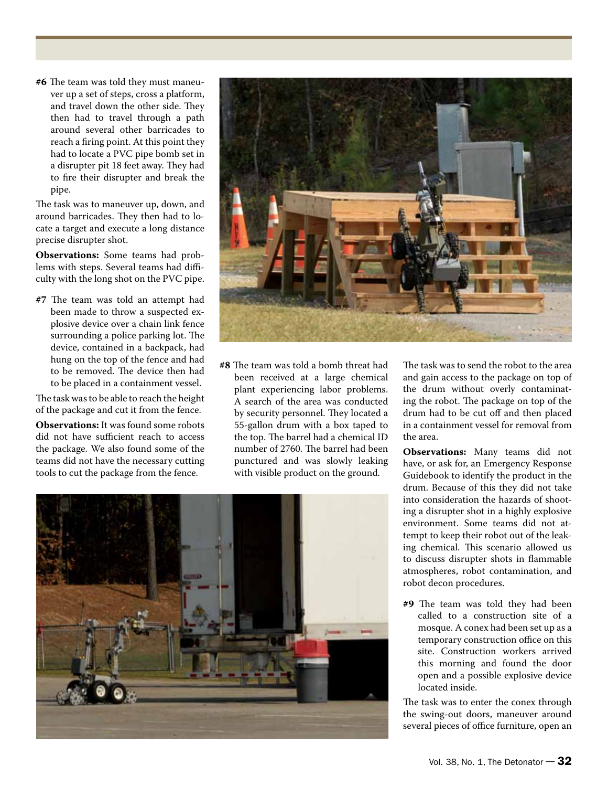**#6** The team was told they must maneuver up a set of steps, cross a platform, and travel down the other side. They then had to travel through a path around several other barricades to reach a firing point. At this point they had to locate a PVC pipe bomb set in a disrupter pit 18 feet away. They had to fire their disrupter and break the pipe.

The task was to maneuver up, down, and around barricades. They then had to locate a target and execute a long distance precise disrupter shot.

**Observations:** Some teams had problems with steps. Several teams had difficulty with the long shot on the PVC pipe.

**#7** The team was told an attempt had been made to throw a suspected explosive device over a chain link fence surrounding a police parking lot. The device, contained in a backpack, had hung on the top of the fence and had to be removed. The device then had to be placed in a containment vessel.

The task was to be able to reach the height of the package and cut it from the fence.

**Observations:** It was found some robots did not have sufficient reach to access the package. We also found some of the teams did not have the necessary cutting tools to cut the package from the fence.



**#8** The team was told a bomb threat had been received at a large chemical plant experiencing labor problems. A search of the area was conducted by security personnel. They located a 55-gallon drum with a box taped to the top. The barrel had a chemical ID number of 2760. The barrel had been punctured and was slowly leaking with visible product on the ground.

The task was to send the robot to the area and gain access to the package on top of the drum without overly contaminating the robot. The package on top of the drum had to be cut off and then placed in a containment vessel for removal from the area.

**Observations:** Many teams did not have, or ask for, an Emergency Response Guidebook to identify the product in the drum. Because of this they did not take into consideration the hazards of shooting a disrupter shot in a highly explosive environment. Some teams did not attempt to keep their robot out of the leaking chemical. This scenario allowed us to discuss disrupter shots in flammable atmospheres, robot contamination, and robot decon procedures.

**#9** The team was told they had been called to a construction site of a mosque. A conex had been set up as a temporary construction office on this site. Construction workers arrived this morning and found the door open and a possible explosive device located inside.

The task was to enter the conex through the swing-out doors, maneuver around several pieces of office furniture, open an

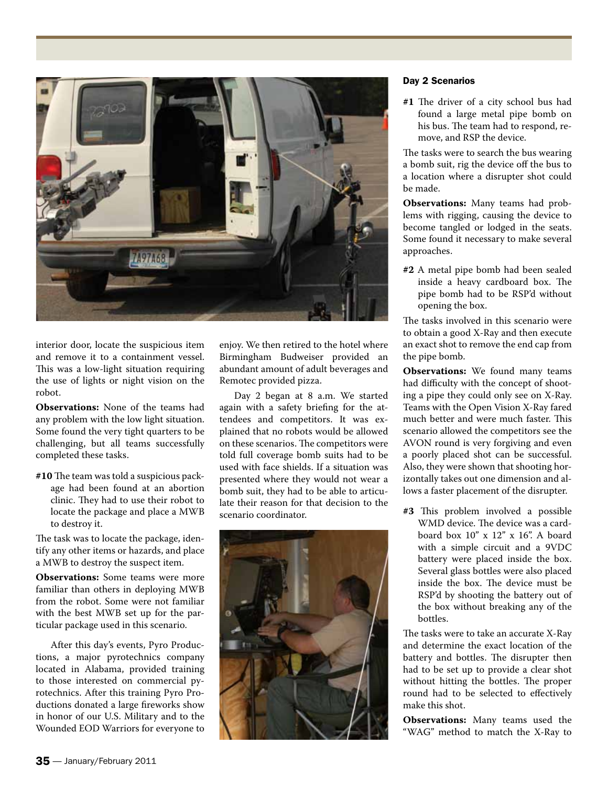

interior door, locate the suspicious item and remove it to a containment vessel. This was a low-light situation requiring the use of lights or night vision on the robot.

**Observations:** None of the teams had any problem with the low light situation. Some found the very tight quarters to be challenging, but all teams successfully completed these tasks.

**#10** The team was told a suspicious package had been found at an abortion clinic. They had to use their robot to locate the package and place a MWB to destroy it.

The task was to locate the package, identify any other items or hazards, and place a MWB to destroy the suspect item.

**Observations:** Some teams were more familiar than others in deploying MWB from the robot. Some were not familiar with the best MWB set up for the particular package used in this scenario.

After this day's events, Pyro Productions, a major pyrotechnics company located in Alabama, provided training to those interested on commercial pyrotechnics. After this training Pyro Productions donated a large fireworks show in honor of our U.S. Military and to the Wounded EOD Warriors for everyone to enjoy. We then retired to the hotel where Birmingham Budweiser provided an abundant amount of adult beverages and Remotec provided pizza.

Day 2 began at 8 a.m. We started again with a safety briefing for the attendees and competitors. It was explained that no robots would be allowed on these scenarios. The competitors were told full coverage bomb suits had to be used with face shields. If a situation was presented where they would not wear a bomb suit, they had to be able to articulate their reason for that decision to the scenario coordinator.



## Day 2 Scenarios

**#1** The driver of a city school bus had found a large metal pipe bomb on his bus. The team had to respond, remove, and RSP the device.

The tasks were to search the bus wearing a bomb suit, rig the device off the bus to a location where a disrupter shot could be made.

**Observations:** Many teams had problems with rigging, causing the device to become tangled or lodged in the seats. Some found it necessary to make several approaches.

**#2** A metal pipe bomb had been sealed inside a heavy cardboard box. The pipe bomb had to be RSP'd without opening the box.

The tasks involved in this scenario were to obtain a good X-Ray and then execute an exact shot to remove the end cap from the pipe bomb.

**Observations:** We found many teams had difficulty with the concept of shooting a pipe they could only see on X-Ray. Teams with the Open Vision X-Ray fared much better and were much faster. This scenario allowed the competitors see the AVON round is very forgiving and even a poorly placed shot can be successful. Also, they were shown that shooting horizontally takes out one dimension and allows a faster placement of the disrupter.

**#3** This problem involved a possible WMD device. The device was a cardboard box 10" x 12" x 16". A board with a simple circuit and a 9VDC battery were placed inside the box. Several glass bottles were also placed inside the box. The device must be RSP'd by shooting the battery out of the box without breaking any of the bottles.

The tasks were to take an accurate X-Ray and determine the exact location of the battery and bottles. The disrupter then had to be set up to provide a clear shot without hitting the bottles. The proper round had to be selected to effectively make this shot.

**Observations:** Many teams used the "WAG" method to match the X-Ray to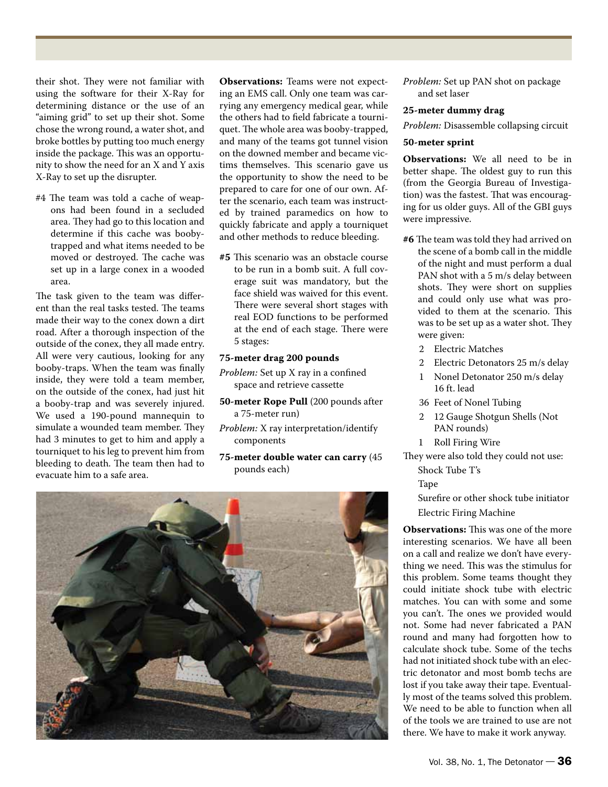their shot. They were not familiar with using the software for their X-Ray for determining distance or the use of an "aiming grid" to set up their shot. Some chose the wrong round, a water shot, and broke bottles by putting too much energy inside the package. This was an opportunity to show the need for an X and Y axis X-Ray to set up the disrupter.

#4 The team was told a cache of weapons had been found in a secluded area. They had go to this location and determine if this cache was boobytrapped and what items needed to be moved or destroyed. The cache was set up in a large conex in a wooded area.

The task given to the team was different than the real tasks tested. The teams made their way to the conex down a dirt road. After a thorough inspection of the outside of the conex, they all made entry. All were very cautious, looking for any booby-traps. When the team was finally inside, they were told a team member, on the outside of the conex, had just hit a booby-trap and was severely injured. We used a 190-pound mannequin to simulate a wounded team member. They had 3 minutes to get to him and apply a tourniquet to his leg to prevent him from bleeding to death. The team then had to evacuate him to a safe area.

**Observations:** Teams were not expecting an EMS call. Only one team was carrying any emergency medical gear, while the others had to field fabricate a tourniquet. The whole area was booby-trapped, and many of the teams got tunnel vision on the downed member and became victims themselves. This scenario gave us the opportunity to show the need to be prepared to care for one of our own. After the scenario, each team was instructed by trained paramedics on how to quickly fabricate and apply a tourniquet and other methods to reduce bleeding.

**#5** This scenario was an obstacle course to be run in a bomb suit. A full coverage suit was mandatory, but the face shield was waived for this event. There were several short stages with real EOD functions to be performed at the end of each stage. There were 5 stages:

#### **75-meter drag 200 pounds**

- *Problem:* Set up X ray in a confined space and retrieve cassette
- **50-meter Rope Pull** (200 pounds after a 75-meter run)
- *Problem:* X ray interpretation/identify components
- **75-meter double water can carry** (45 pounds each)



*Problem:* Set up PAN shot on package and set laser

#### **25-meter dummy drag**

*Problem:* Disassemble collapsing circuit

## **50-meter sprint**

**Observations:** We all need to be in better shape. The oldest guy to run this (from the Georgia Bureau of Investigation) was the fastest. That was encouraging for us older guys. All of the GBI guys were impressive.

- **#6** The team was told they had arrived on the scene of a bomb call in the middle of the night and must perform a dual PAN shot with a 5 m/s delay between shots. They were short on supplies and could only use what was provided to them at the scenario. This was to be set up as a water shot. They were given:
	- 2 Electric Matches
- 2 Electric Detonators 25 m/s delay
	- 1 Nonel Detonator 250 m/s delay 16 ft. lead
	- 36 Feet of Nonel Tubing
	- 2 12 Gauge Shotgun Shells (Not PAN rounds)
	- 1 Roll Firing Wire
- They were also told they could not use: Shock Tube T's
	- Tape
	- Surefire or other shock tube initiator
	- Electric Firing Machine

**Observations:** This was one of the more interesting scenarios. We have all been on a call and realize we don't have everything we need. This was the stimulus for this problem. Some teams thought they could initiate shock tube with electric matches. You can with some and some you can't. The ones we provided would not. Some had never fabricated a PAN round and many had forgotten how to calculate shock tube. Some of the techs had not initiated shock tube with an electric detonator and most bomb techs are lost if you take away their tape. Eventually most of the teams solved this problem. We need to be able to function when all of the tools we are trained to use are not there. We have to make it work anyway.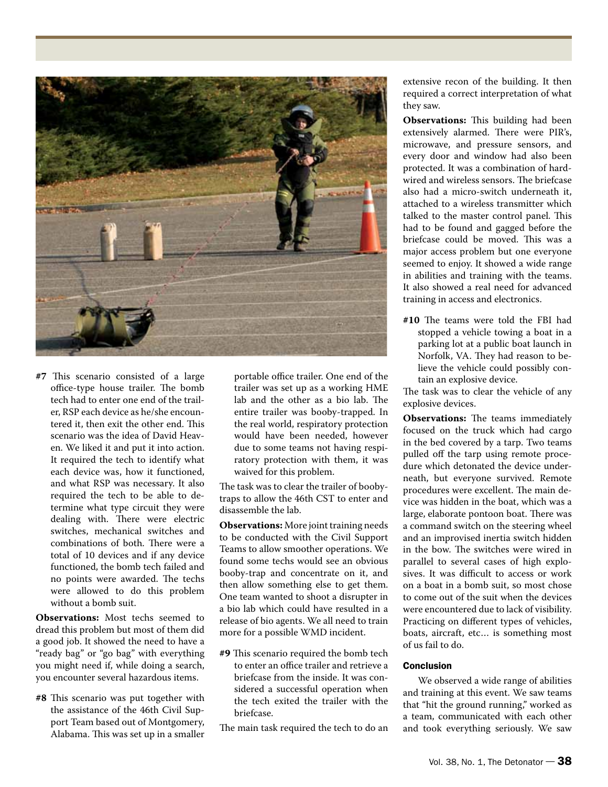

**#7** This scenario consisted of a large office-type house trailer. The bomb tech had to enter one end of the trailer, RSP each device as he/she encountered it, then exit the other end. This scenario was the idea of David Heaven. We liked it and put it into action. It required the tech to identify what each device was, how it functioned, and what RSP was necessary. It also required the tech to be able to determine what type circuit they were dealing with. There were electric switches, mechanical switches and combinations of both. There were a total of 10 devices and if any device functioned, the bomb tech failed and no points were awarded. The techs were allowed to do this problem without a bomb suit.

**Observations:** Most techs seemed to dread this problem but most of them did a good job. It showed the need to have a "ready bag" or "go bag" with everything you might need if, while doing a search, you encounter several hazardous items.

**#8** This scenario was put together with the assistance of the 46th Civil Support Team based out of Montgomery, Alabama. This was set up in a smaller

portable office trailer. One end of the trailer was set up as a working HME lab and the other as a bio lab. The entire trailer was booby-trapped. In the real world, respiratory protection would have been needed, however due to some teams not having respiratory protection with them, it was waived for this problem.

The task was to clear the trailer of boobytraps to allow the 46th CST to enter and disassemble the lab.

**Observations:** More joint training needs to be conducted with the Civil Support Teams to allow smoother operations. We found some techs would see an obvious booby-trap and concentrate on it, and then allow something else to get them. One team wanted to shoot a disrupter in a bio lab which could have resulted in a release of bio agents. We all need to train more for a possible WMD incident.

- **#9** This scenario required the bomb tech to enter an office trailer and retrieve a briefcase from the inside. It was considered a successful operation when the tech exited the trailer with the briefcase.
- The main task required the tech to do an

extensive recon of the building. It then required a correct interpretation of what they saw.

**Observations:** This building had been extensively alarmed. There were PIR's, microwave, and pressure sensors, and every door and window had also been protected. It was a combination of hardwired and wireless sensors. The briefcase also had a micro-switch underneath it, attached to a wireless transmitter which talked to the master control panel. This had to be found and gagged before the briefcase could be moved. This was a major access problem but one everyone seemed to enjoy. It showed a wide range in abilities and training with the teams. It also showed a real need for advanced training in access and electronics.

**#10** The teams were told the FBI had stopped a vehicle towing a boat in a parking lot at a public boat launch in Norfolk, VA. They had reason to believe the vehicle could possibly contain an explosive device.

The task was to clear the vehicle of any explosive devices.

**Observations:** The teams immediately focused on the truck which had cargo in the bed covered by a tarp. Two teams pulled off the tarp using remote procedure which detonated the device underneath, but everyone survived. Remote procedures were excellent. The main device was hidden in the boat, which was a large, elaborate pontoon boat. There was a command switch on the steering wheel and an improvised inertia switch hidden in the bow. The switches were wired in parallel to several cases of high explosives. It was difficult to access or work on a boat in a bomb suit, so most chose to come out of the suit when the devices were encountered due to lack of visibility. Practicing on different types of vehicles, boats, aircraft, etc… is something most of us fail to do.

## **Conclusion**

We observed a wide range of abilities and training at this event. We saw teams that "hit the ground running," worked as a team, communicated with each other and took everything seriously. We saw